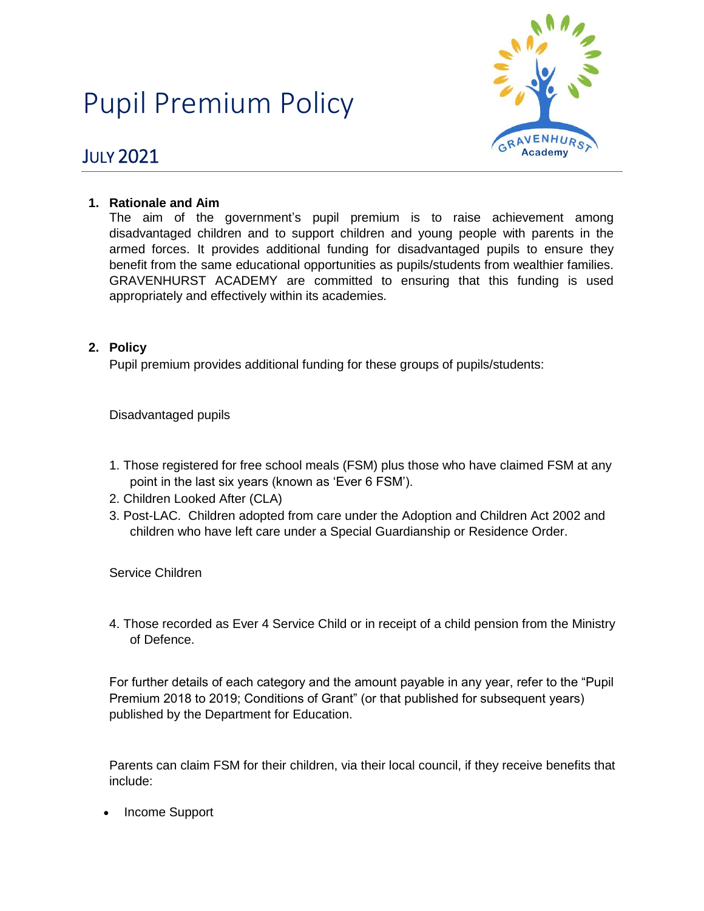# Pupil Premium Policy



# JULY 2021

### **1. Rationale and Aim**

The aim of the government's pupil premium is to raise achievement among disadvantaged children and to support children and young people with parents in the armed forces. It provides additional funding for disadvantaged pupils to ensure they benefit from the same educational opportunities as pupils/students from wealthier families. GRAVENHURST ACADEMY are committed to ensuring that this funding is used appropriately and effectively within its academies.

## **2. Policy**

Pupil premium provides additional funding for these groups of pupils/students:

Disadvantaged pupils

- 1. Those registered for free school meals (FSM) plus those who have claimed FSM at any point in the last six years (known as 'Ever 6 FSM').
- 2. Children Looked After (CLA)
- 3. Post-LAC. Children adopted from care under the Adoption and Children Act 2002 and children who have left care under a Special Guardianship or Residence Order.

Service Children

4. Those recorded as Ever 4 Service Child or in receipt of a child pension from the Ministry of Defence.

For further details of each category and the amount payable in any year, refer to the "Pupil Premium 2018 to 2019; Conditions of Grant" (or that published for subsequent years) published by the Department for Education.

Parents can claim FSM for their children, via their local council, if they receive benefits that include:

• Income Support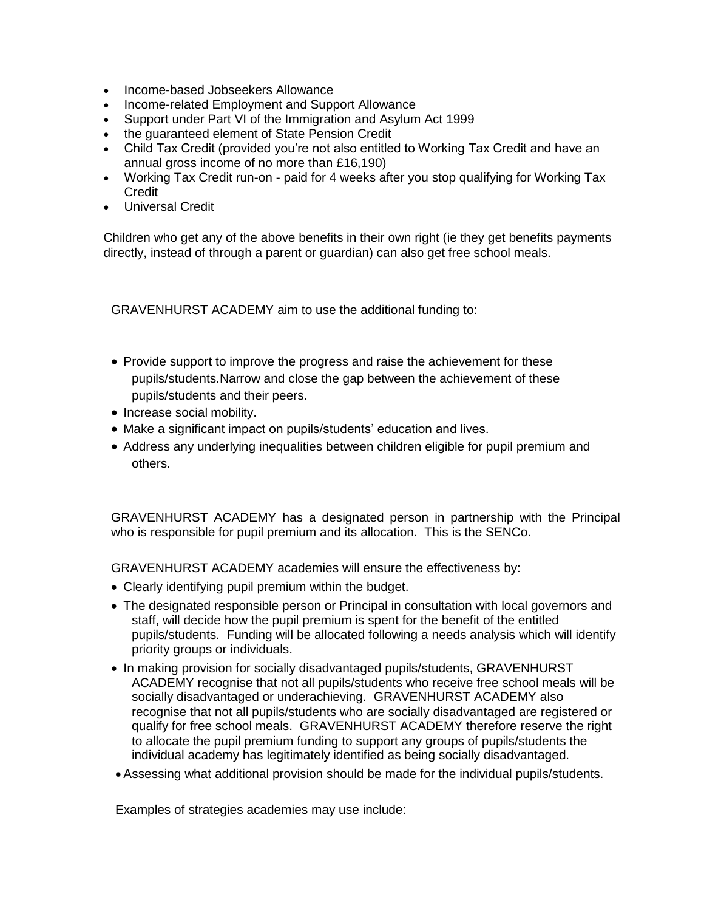- Income-based Jobseekers Allowance
- Income-related Employment and Support Allowance
- Support under Part VI of the Immigration and Asylum Act 1999
- the guaranteed element of State Pension Credit
- Child Tax Credit (provided you're not also entitled to Working Tax Credit and have an annual gross income of no more than £16,190)
- Working Tax Credit run-on paid for 4 weeks after you stop qualifying for Working Tax **Credit**
- Universal Credit

Children who get any of the above benefits in their own right (ie they get benefits payments directly, instead of through a parent or guardian) can also get free school meals.

GRAVENHURST ACADEMY aim to use the additional funding to:

- Provide support to improve the progress and raise the achievement for these pupils/students.Narrow and close the gap between the achievement of these pupils/students and their peers.
- Increase social mobility.
- Make a significant impact on pupils/students' education and lives.
- Address any underlying inequalities between children eligible for pupil premium and others.

GRAVENHURST ACADEMY has a designated person in partnership with the Principal who is responsible for pupil premium and its allocation. This is the SENCo.

GRAVENHURST ACADEMY academies will ensure the effectiveness by:

- Clearly identifying pupil premium within the budget.
- The designated responsible person or Principal in consultation with local governors and staff, will decide how the pupil premium is spent for the benefit of the entitled pupils/students. Funding will be allocated following a needs analysis which will identify priority groups or individuals.
- In making provision for socially disadvantaged pupils/students, GRAVENHURST ACADEMY recognise that not all pupils/students who receive free school meals will be socially disadvantaged or underachieving. GRAVENHURST ACADEMY also recognise that not all pupils/students who are socially disadvantaged are registered or qualify for free school meals. GRAVENHURST ACADEMY therefore reserve the right to allocate the pupil premium funding to support any groups of pupils/students the individual academy has legitimately identified as being socially disadvantaged.
- Assessing what additional provision should be made for the individual pupils/students.

Examples of strategies academies may use include: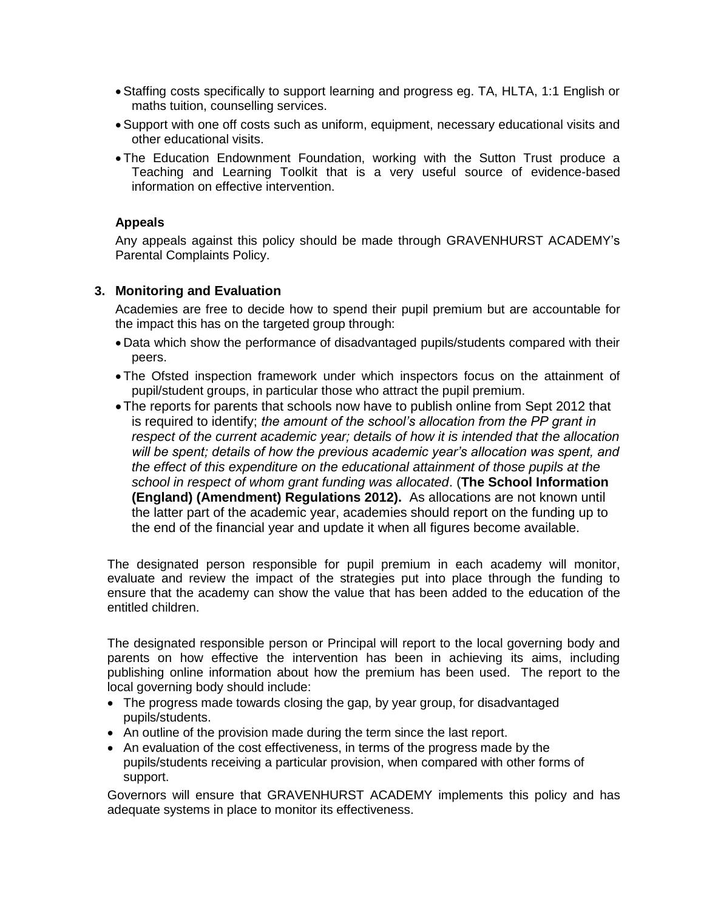- Staffing costs specifically to support learning and progress eg. TA, HLTA, 1:1 English or maths tuition, counselling services.
- Support with one off costs such as uniform, equipment, necessary educational visits and other educational visits.
- The Education Endownment Foundation, working with the Sutton Trust produce a Teaching and Learning Toolkit that is a very useful source of evidence-based information on effective intervention.

#### **Appeals**

Any appeals against this policy should be made through GRAVENHURST ACADEMY's Parental Complaints Policy.

#### **3. Monitoring and Evaluation**

Academies are free to decide how to spend their pupil premium but are accountable for the impact this has on the targeted group through:

- Data which show the performance of disadvantaged pupils/students compared with their peers.
- The Ofsted inspection framework under which inspectors focus on the attainment of pupil/student groups, in particular those who attract the pupil premium.
- The reports for parents that schools now have to publish online from Sept 2012 that is required to identify; *the amount of the school's allocation from the PP grant in respect of the current academic year; details of how it is intended that the allocation will be spent; details of how the previous academic year's allocation was spent, and the effect of this expenditure on the educational attainment of those pupils at the school in respect of whom grant funding was allocated*. (**The School Information (England) (Amendment) Regulations 2012).** As allocations are not known until the latter part of the academic year, academies should report on the funding up to the end of the financial year and update it when all figures become available.

The designated person responsible for pupil premium in each academy will monitor, evaluate and review the impact of the strategies put into place through the funding to ensure that the academy can show the value that has been added to the education of the entitled children.

The designated responsible person or Principal will report to the local governing body and parents on how effective the intervention has been in achieving its aims, including publishing online information about how the premium has been used. The report to the local governing body should include:

- The progress made towards closing the gap, by year group, for disadvantaged pupils/students.
- An outline of the provision made during the term since the last report.
- An evaluation of the cost effectiveness, in terms of the progress made by the pupils/students receiving a particular provision, when compared with other forms of support.

Governors will ensure that GRAVENHURST ACADEMY implements this policy and has adequate systems in place to monitor its effectiveness.